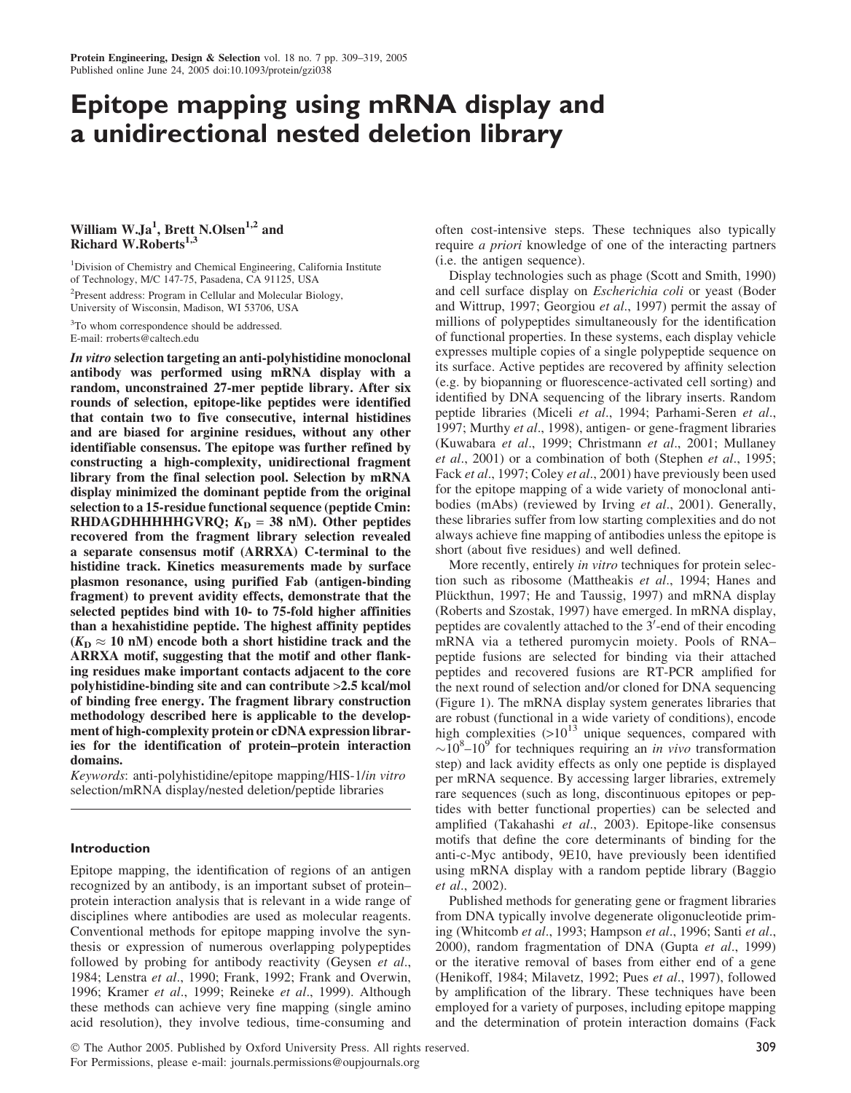# Epitope mapping using mRNA display and a unidirectional nested deletion library

## William  $W.Ja<sup>1</sup>$ , Brett N.Olsen<sup>1,2</sup> and Richard W.Roberts<sup>1,3</sup>

<sup>1</sup>Division of Chemistry and Chemical Engineering, California Institute of Technology, M/C 147-75, Pasadena, CA 91125, USA <sup>2</sup>Present address: Program in Cellular and Molecular Biology, University of Wisconsin, Madison, WI 53706, USA

<sup>3</sup>To whom correspondence should be addressed. E-mail: rroberts@caltech.edu

In vitro selection targeting an anti-polyhistidine monoclonal antibody was performed using mRNA display with a random, unconstrained 27-mer peptide library. After six rounds of selection, epitope-like peptides were identified that contain two to five consecutive, internal histidines and are biased for arginine residues, without any other identifiable consensus. The epitope was further refined by constructing a high-complexity, unidirectional fragment library from the final selection pool. Selection by mRNA display minimized the dominant peptide from the original selection to a 15-residue functional sequence (peptide Cmin: RHDAGDHHHHHGVRQ;  $K<sub>D</sub> = 38$  nM). Other peptides recovered from the fragment library selection revealed a separate consensus motif (ARRXA) C-terminal to the histidine track. Kinetics measurements made by surface plasmon resonance, using purified Fab (antigen-binding fragment) to prevent avidity effects, demonstrate that the selected peptides bind with 10- to 75-fold higher affinities than a hexahistidine peptide. The highest affinity peptides  $(K_D \approx 10 \text{ nM})$  encode both a short histidine track and the ARRXA motif, suggesting that the motif and other flanking residues make important contacts adjacent to the core polyhistidine-binding site and can contribute >2.5 kcal/mol of binding free energy. The fragment library construction methodology described here is applicable to the development of high-complexity protein or cDNA expression libraries for the identification of protein–protein interaction domains.

Keywords: anti-polyhistidine/epitope mapping/HIS-1/in vitro selection/mRNA display/nested deletion/peptide libraries

## Introduction

Epitope mapping, the identification of regions of an antigen recognized by an antibody, is an important subset of protein– protein interaction analysis that is relevant in a wide range of disciplines where antibodies are used as molecular reagents. Conventional methods for epitope mapping involve the synthesis or expression of numerous overlapping polypeptides followed by probing for antibody reactivity (Geysen et al., 1984; Lenstra et al., 1990; Frank, 1992; Frank and Overwin, 1996; Kramer et al., 1999; Reineke et al., 1999). Although these methods can achieve very fine mapping (single amino acid resolution), they involve tedious, time-consuming and

often cost-intensive steps. These techniques also typically require a priori knowledge of one of the interacting partners (i.e. the antigen sequence).

Display technologies such as phage (Scott and Smith, 1990) and cell surface display on Escherichia coli or yeast (Boder and Wittrup, 1997; Georgiou et al., 1997) permit the assay of millions of polypeptides simultaneously for the identification of functional properties. In these systems, each display vehicle expresses multiple copies of a single polypeptide sequence on its surface. Active peptides are recovered by affinity selection (e.g. by biopanning or fluorescence-activated cell sorting) and identified by DNA sequencing of the library inserts. Random peptide libraries (Miceli et al., 1994; Parhami-Seren et al., 1997; Murthy et al., 1998), antigen- or gene-fragment libraries (Kuwabara et al., 1999; Christmann et al., 2001; Mullaney et al., 2001) or a combination of both (Stephen et al., 1995; Fack *et al.*, 1997; Coley *et al.*, 2001) have previously been used for the epitope mapping of a wide variety of monoclonal antibodies (mAbs) (reviewed by Irving et al., 2001). Generally, these libraries suffer from low starting complexities and do not always achieve fine mapping of antibodies unless the epitope is short (about five residues) and well defined.

More recently, entirely in vitro techniques for protein selection such as ribosome (Mattheakis et al., 1994; Hanes and Plückthun, 1997; He and Taussig, 1997) and mRNA display (Roberts and Szostak, 1997) have emerged. In mRNA display, peptides are covalently attached to the 3'-end of their encoding mRNA via a tethered puromycin moiety. Pools of RNA– peptide fusions are selected for binding via their attached peptides and recovered fusions are RT-PCR amplified for the next round of selection and/or cloned for DNA sequencing (Figure 1). The mRNA display system generates libraries that are robust (functional in a wide variety of conditions), encode high complexities  $(>10^{13}$  unique sequences, compared with  $\sim 10^8$ – $10^9$  for techniques requiring an *in vivo* transformation step) and lack avidity effects as only one peptide is displayed per mRNA sequence. By accessing larger libraries, extremely rare sequences (such as long, discontinuous epitopes or peptides with better functional properties) can be selected and amplified (Takahashi et al., 2003). Epitope-like consensus motifs that define the core determinants of binding for the anti-c-Myc antibody, 9E10, have previously been identified using mRNA display with a random peptide library (Baggio et al., 2002).

Published methods for generating gene or fragment libraries from DNA typically involve degenerate oligonucleotide priming (Whitcomb et al., 1993; Hampson et al., 1996; Santi et al., 2000), random fragmentation of DNA (Gupta et al., 1999) or the iterative removal of bases from either end of a gene (Henikoff, 1984; Milavetz, 1992; Pues et al., 1997), followed by amplification of the library. These techniques have been employed for a variety of purposes, including epitope mapping and the determination of protein interaction domains (Fack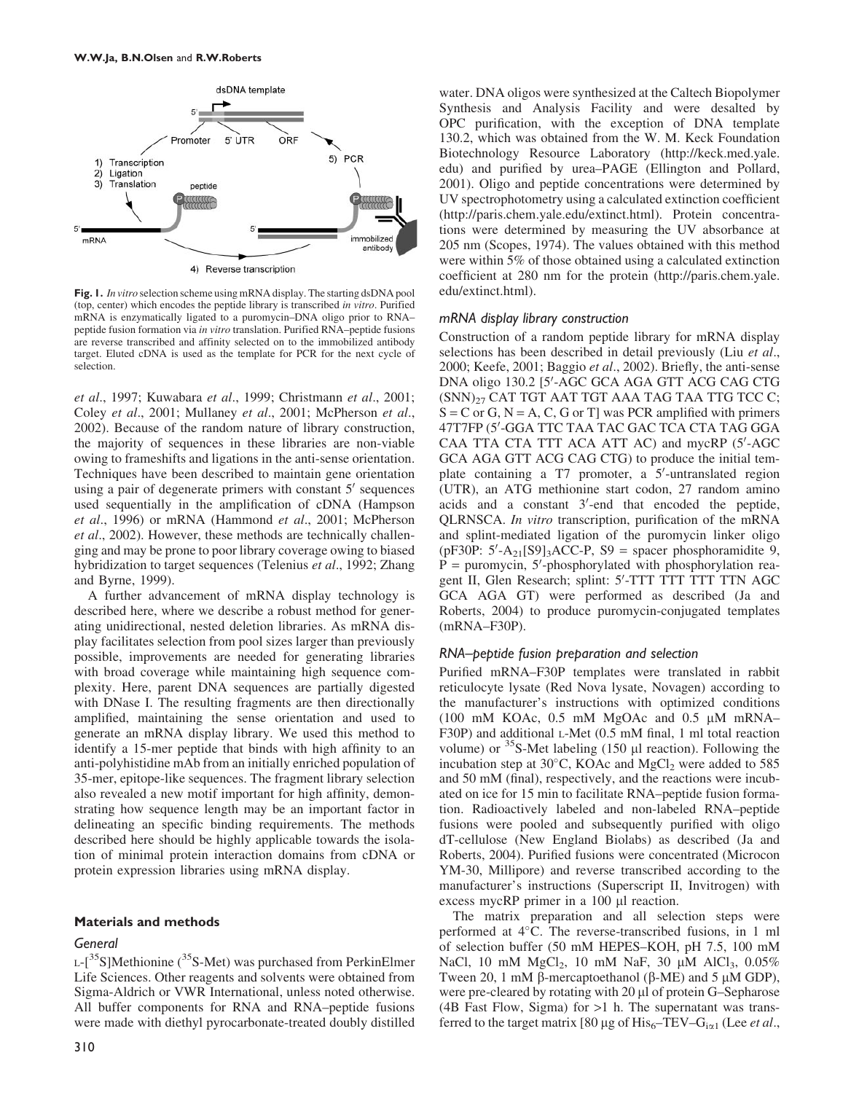

Fig. 1. In vitro selection scheme using mRNA display. The starting dsDNA pool (top, center) which encodes the peptide library is transcribed in vitro. Purified mRNA is enzymatically ligated to a puromycin–DNA oligo prior to RNA– peptide fusion formation via in vitro translation. Purified RNA–peptide fusions are reverse transcribed and affinity selected on to the immobilized antibody target. Eluted cDNA is used as the template for PCR for the next cycle of selection.

et al., 1997; Kuwabara et al., 1999; Christmann et al., 2001; Coley et al., 2001; Mullaney et al., 2001; McPherson et al., 2002). Because of the random nature of library construction, the majority of sequences in these libraries are non-viable owing to frameshifts and ligations in the anti-sense orientation. Techniques have been described to maintain gene orientation using a pair of degenerate primers with constant  $5'$  sequences used sequentially in the amplification of cDNA (Hampson et al., 1996) or mRNA (Hammond et al., 2001; McPherson et al., 2002). However, these methods are technically challenging and may be prone to poor library coverage owing to biased hybridization to target sequences (Telenius et al., 1992; Zhang and Byrne, 1999).

A further advancement of mRNA display technology is described here, where we describe a robust method for generating unidirectional, nested deletion libraries. As mRNA display facilitates selection from pool sizes larger than previously possible, improvements are needed for generating libraries with broad coverage while maintaining high sequence complexity. Here, parent DNA sequences are partially digested with DNase I. The resulting fragments are then directionally amplified, maintaining the sense orientation and used to generate an mRNA display library. We used this method to identify a 15-mer peptide that binds with high affinity to an anti-polyhistidine mAb from an initially enriched population of 35-mer, epitope-like sequences. The fragment library selection also revealed a new motif important for high affinity, demonstrating how sequence length may be an important factor in delineating an specific binding requirements. The methods described here should be highly applicable towards the isolation of minimal protein interaction domains from cDNA or protein expression libraries using mRNA display.

## Materials and methods

#### General

 $L$ -[<sup>35</sup>S]Methionine (<sup>35</sup>S-Met) was purchased from PerkinElmer Life Sciences. Other reagents and solvents were obtained from Sigma-Aldrich or VWR International, unless noted otherwise. All buffer components for RNA and RNA–peptide fusions were made with diethyl pyrocarbonate-treated doubly distilled water. DNA oligos were synthesized at the Caltech Biopolymer Synthesis and Analysis Facility and were desalted by OPC purification, with the e[xception](http://keck.med.yale) [of](http://keck.med.yale) [DNA](http://keck.med.yale) [te](http://keck.med.yale)mplate 130.2, which was obtained from the W. M. Keck Foundation Biotechnology Resource Laboratory (http://keck.med.yale. edu) and purified by urea–PAGE (Ellington and Pollard, [2001\).](http://paris.chem.yale.edu/extinct.html) [Oligo](http://paris.chem.yale.edu/extinct.html) [and](http://paris.chem.yale.edu/extinct.html) [peptide](http://paris.chem.yale.edu/extinct.html) [concent](http://paris.chem.yale.edu/extinct.html)rations were determined by UV spectrophotometry using a calculated extinction coefficient (http://paris.chem.yale.edu/extinct.html). Protein concentrations were determined by measuring the UV absorbance at 205 nm (Scopes, 1974). The val[ues](http://paris.chem.yale) [obtained](http://paris.chem.yale) [with](http://paris.chem.yale) [this](http://paris.chem.yale) [m](http://paris.chem.yale)ethod were within 5% of those obtained using a calculated extinction coefficient at 280 nm for the protein (http://paris.chem.yale. edu/extinct.html).

#### mRNA display library construction

Construction of a random peptide library for mRNA display selections has been described in detail previously (Liu et al., 2000; Keefe, 2001; Baggio et al., 2002). Briefly, the anti-sense DNA oligo 130.2 [5'-AGC GCA AGA GTT ACG CAG CTG  $(SNN)_{27}$  CAT TGT AAT TGT AAA TAG TAA TTG TCC C;  $S = C$  or G, N = A, C, G or T] was PCR amplified with primers 47T7FP (5'-GGA TTC TAA TAC GAC TCA CTA TAG GGA CAA TTA CTA TTT ACA ATT AC) and mycRP (5'-AGC GCA AGA GTT ACG CAG CTG) to produce the initial template containing a T7 promoter, a 5'-untranslated region (UTR), an ATG methionine start codon, 27 random amino acids and a constant  $3'$ -end that encoded the peptide, QLRNSCA. In vitro transcription, purification of the mRNA and splint-mediated ligation of the puromycin linker oligo (pF30P:  $5'$ -A<sub>21</sub>[S9]<sub>3</sub>ACC-P, S9 = spacer phosphoramidite 9,  $\bar{P}$  = puromycin, 5'-phosphorylated with phosphorylation reagent II, Glen Research; splint: 5'-TTT TTT TTT TTN AGC GCA AGA GT) were performed as described (Ja and Roberts, 2004) to produce puromycin-conjugated templates (mRNA–F30P).

#### RNA–peptide fusion preparation and selection

Purified mRNA–F30P templates were translated in rabbit reticulocyte lysate (Red Nova lysate, Novagen) according to the manufacturer's instructions with optimized conditions (100 mM KOAc, 0.5 mM MgOAc and 0.5  $\mu$ M mRNA– F30P) and additional L-Met (0.5 mM final, 1 ml total reaction volume) or  $35S-Met$  labeling (150  $\mu$ l reaction). Following the incubation step at 30 $\degree$ C, KOAc and MgCl<sub>2</sub> were added to 585 and 50 mM (final), respectively, and the reactions were incubated on ice for 15 min to facilitate RNA–peptide fusion formation. Radioactively labeled and non-labeled RNA–peptide fusions were pooled and subsequently purified with oligo dT-cellulose (New England Biolabs) as described (Ja and Roberts, 2004). Purified fusions were concentrated (Microcon YM-30, Millipore) and reverse transcribed according to the manufacturer's instructions (Superscript II, Invitrogen) with excess mycRP primer in a 100 µl reaction.

The matrix preparation and all selection steps were performed at  $4^{\circ}$ C. The reverse-transcribed fusions, in 1 ml of selection buffer (50 mM HEPES–KOH, pH 7.5, 100 mM NaCl, 10 mM  $MgCl_2$ , 10 mM NaF, 30 µM AlCl<sub>3</sub>, 0.05% Tween 20, 1 mM  $\beta$ -mercaptoethanol ( $\beta$ -ME) and 5  $\mu$ M GDP), were pre-cleared by rotating with 20 µl of protein G–Sepharose (4B Fast Flow, Sigma) for >1 h. The supernatant was transferred to the target matrix [80 µg of  $His_{6}$ –TEV– $G_{i\alpha1}$  (Lee *et al.*,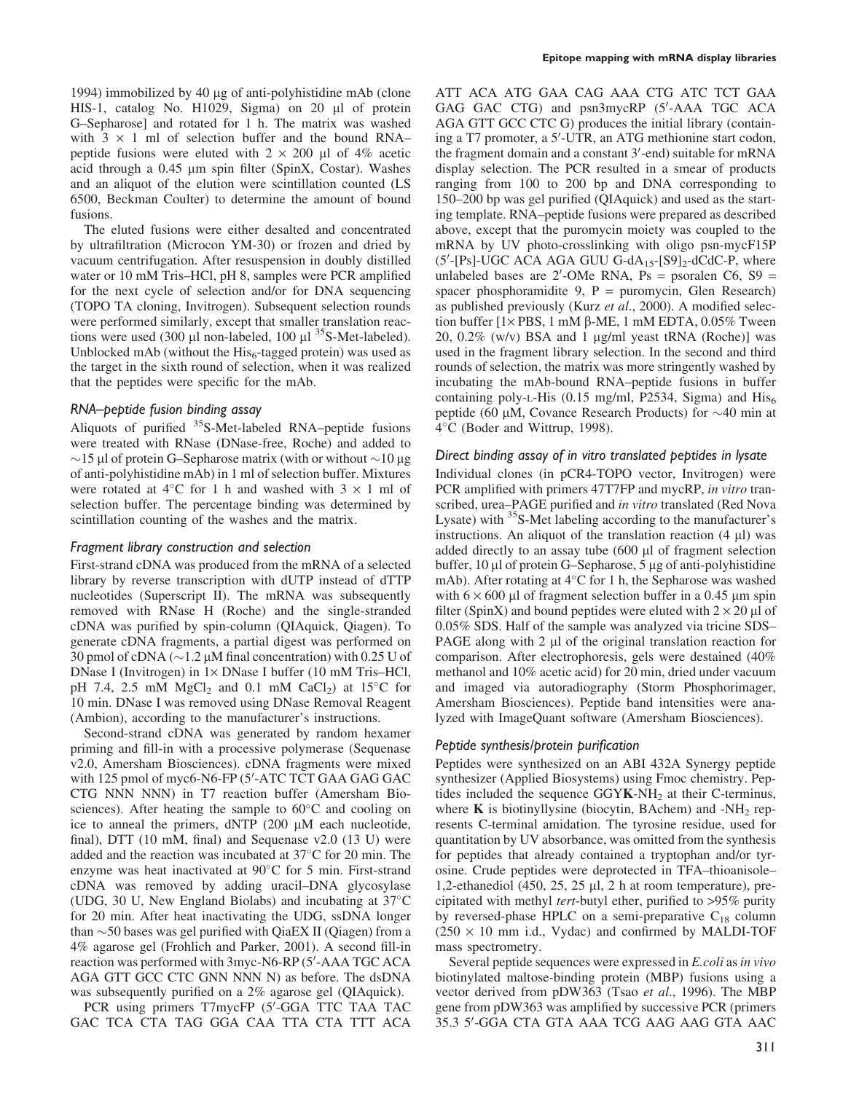1994) immobilized by 40  $\mu$ g of anti-polyhistidine mAb (clone HIS-1, catalog No. H1029, Sigma) on 20 µl of protein G–Sepharose] and rotated for 1 h. The matrix was washed with  $3 \times 1$  ml of selection buffer and the bound RNA– peptide fusions were eluted with  $2 \times 200$  µl of 4% acetic acid through a 0.45 µm spin filter (SpinX, Costar). Washes and an aliquot of the elution were scintillation counted (LS 6500, Beckman Coulter) to determine the amount of bound fusions.

The eluted fusions were either desalted and concentrated by ultrafiltration (Microcon YM-30) or frozen and dried by vacuum centrifugation. After resuspension in doubly distilled water or 10 mM Tris–HCl, pH 8, samples were PCR amplified for the next cycle of selection and/or for DNA sequencing (TOPO TA cloning, Invitrogen). Subsequent selection rounds were performed similarly, except that smaller translation reactions were used (300  $\mu$ l non-labeled, 100  $\mu$ l <sup>35</sup>S-Met-labeled). Unblocked mAb (without the  $His<sub>6</sub>$ -tagged protein) was used as the target in the sixth round of selection, when it was realized that the peptides were specific for the mAb.

# RNA–peptide fusion binding assay

Aliquots of purified <sup>35</sup>S-Met-labeled RNA–peptide fusions were treated with RNase (DNase-free, Roche) and added to  $\sim$ 15 µl of protein G–Sepharose matrix (with or without  $\sim$ 10 µg of anti-polyhistidine mAb) in 1 ml of selection buffer. Mixtures were rotated at 4°C for 1 h and washed with  $3 \times 1$  ml of selection buffer. The percentage binding was determined by scintillation counting of the washes and the matrix.

## Fragment library construction and selection

First-strand cDNA was produced from the mRNA of a selected library by reverse transcription with dUTP instead of dTTP nucleotides (Superscript II). The mRNA was subsequently removed with RNase H (Roche) and the single-stranded cDNA was purified by spin-column (QIAquick, Qiagen). To generate cDNA fragments, a partial digest was performed on 30 pmol of cDNA ( $\sim$ 1.2 µM final concentration) with 0.25 U of DNase I (Invitrogen) in  $1 \times$  DNase I buffer (10 mM Tris–HCl, pH 7.4, 2.5 mM  $MgCl<sub>2</sub>$  and 0.1 mM CaCl<sub>2</sub>) at 15<sup>o</sup>C for 10 min. DNase I was removed using DNase Removal Reagent (Ambion), according to the manufacturer's instructions.

Second-strand cDNA was generated by random hexamer priming and fill-in with a processive polymerase (Sequenase v2.0, Amersham Biosciences). cDNA fragments were mixed with 125 pmol of myc6-N6-FP (5'-ATC TCT GAA GAG GAC CTG NNN NNN) in T7 reaction buffer (Amersham Biosciences). After heating the sample to  $60^{\circ}$ C and cooling on ice to anneal the primers,  $dNTP$  (200  $\mu$ M each nucleotide, final), DTT (10 mM, final) and Sequenase v2.0 (13 U) were added and the reaction was incubated at  $37^{\circ}$ C for 20 min. The enzyme was heat inactivated at  $90^{\circ}$ C for 5 min. First-strand cDNA was removed by adding uracil–DNA glycosylase (UDG, 30 U, New England Biolabs) and incubating at  $37^{\circ}$ C for 20 min. After heat inactivating the UDG, ssDNA longer than  $\sim$  50 bases was gel purified with QiaEX II (Qiagen) from a 4% agarose gel (Frohlich and Parker, 2001). A second fill-in reaction was performed with 3myc-N6-RP (5'-AAA TGC ACA AGA GTT GCC CTC GNN NNN N) as before. The dsDNA was subsequently purified on a 2% agarose gel (QIAquick).

PCR using primers T7mycFP (5'-GGA TTC TAA TAC GAC TCA CTA TAG GGA CAA TTA CTA TTT ACA ATT ACA ATG GAA CAG AAA CTG ATC TCT GAA GAG GAC CTG) and psn3mycRP (5'-AAA TGC ACA AGA GTT GCC CTC G) produces the initial library (containing a T7 promoter, a 5'-UTR, an ATG methionine start codon, the fragment domain and a constant 3'-end) suitable for mRNA display selection. The PCR resulted in a smear of products ranging from 100 to 200 bp and DNA corresponding to 150–200 bp was gel purified (QIAquick) and used as the starting template. RNA–peptide fusions were prepared as described above, except that the puromycin moiety was coupled to the mRNA by UV photo-crosslinking with oligo psn-mycF15P  $(5'-[Ps]$ -UGC ACA AGA GUU G-dA<sub>15</sub>-[S9]<sub>2</sub>-dCdC-P, where unlabeled bases are  $2'$ -OMe RNA, Ps = psoralen C6, S9 = spacer phosphoramidite  $9$ ,  $P =$  puromycin, Glen Research) as published previously (Kurz et al., 2000). A modified selection buffer  $[1 \times PBS, 1 \text{ mM } \beta$ -ME, 1 mM EDTA, 0.05% Tween 20,  $0.2\%$  (w/v) BSA and 1  $\mu$ g/ml yeast tRNA (Roche)] was used in the fragment library selection. In the second and third rounds of selection, the matrix was more stringently washed by incubating the mAb-bound RNA–peptide fusions in buffer containing poly-L-His  $(0.15 \text{ mg/ml}, P2534, Sigma)$  and His<sub>6</sub> peptide (60  $\mu$ M, Covance Research Products) for  $\sim$ 40 min at 4C (Boder and Wittrup, 1998).

## Direct binding assay of in vitro translated peptides in lysate

Individual clones (in pCR4-TOPO vector, Invitrogen) were PCR amplified with primers 47T7FP and mycRP, in vitro transcribed, urea–PAGE purified and in vitro translated (Red Nova Lysate) with <sup>35</sup>S-Met labeling according to the manufacturer's instructions. An aliquot of the translation reaction  $(4 \mu l)$  was added directly to an assay tube  $(600 \mu)$  of fragment selection buffer, 10 μl of protein G–Sepharose, 5 μg of anti-polyhistidine mAb). After rotating at  $4^{\circ}$ C for 1 h, the Sepharose was washed with  $6 \times 600$  µl of fragment selection buffer in a 0.45 µm spin filter (SpinX) and bound peptides were eluted with  $2 \times 20$  µl of 0.05% SDS. Half of the sample was analyzed via tricine SDS– PAGE along with  $2 \mu$  of the original translation reaction for comparison. After electrophoresis, gels were destained (40% methanol and 10% acetic acid) for 20 min, dried under vacuum and imaged via autoradiography (Storm Phosphorimager, Amersham Biosciences). Peptide band intensities were analyzed with ImageQuant software (Amersham Biosciences).

#### Peptide synthesis/protein purification

Peptides were synthesized on an ABI 432A Synergy peptide synthesizer (Applied Biosystems) using Fmoc chemistry. Peptides included the sequence  $GGYK-NH<sub>2</sub>$  at their C-terminus, where  $\bf{K}$  is biotinyllysine (biocytin, BAchem) and -NH<sub>2</sub> represents C-terminal amidation. The tyrosine residue, used for quantitation by UV absorbance, was omitted from the synthesis for peptides that already contained a tryptophan and/or tyrosine. Crude peptides were deprotected in TFA–thioanisole– 1,2-ethanediol (450, 25, 25  $\mu$ l, 2 h at room temperature), precipitated with methyl tert-butyl ether, purified to >95% purity by reversed-phase HPLC on a semi-preparative  $C_{18}$  column  $(250 \times 10 \text{ mm } i.d., Vydac)$  and confirmed by MALDI-TOF mass spectrometry.

Several peptide sequences were expressed in  $E$ .*coli* as in vivo biotinylated maltose-binding protein (MBP) fusions using a vector derived from pDW363 (Tsao et al., 1996). The MBP gene from pDW363 was amplified by successive PCR (primers 35.3 5'-GGA CTA GTA AAA TCG AAG AAG GTA AAC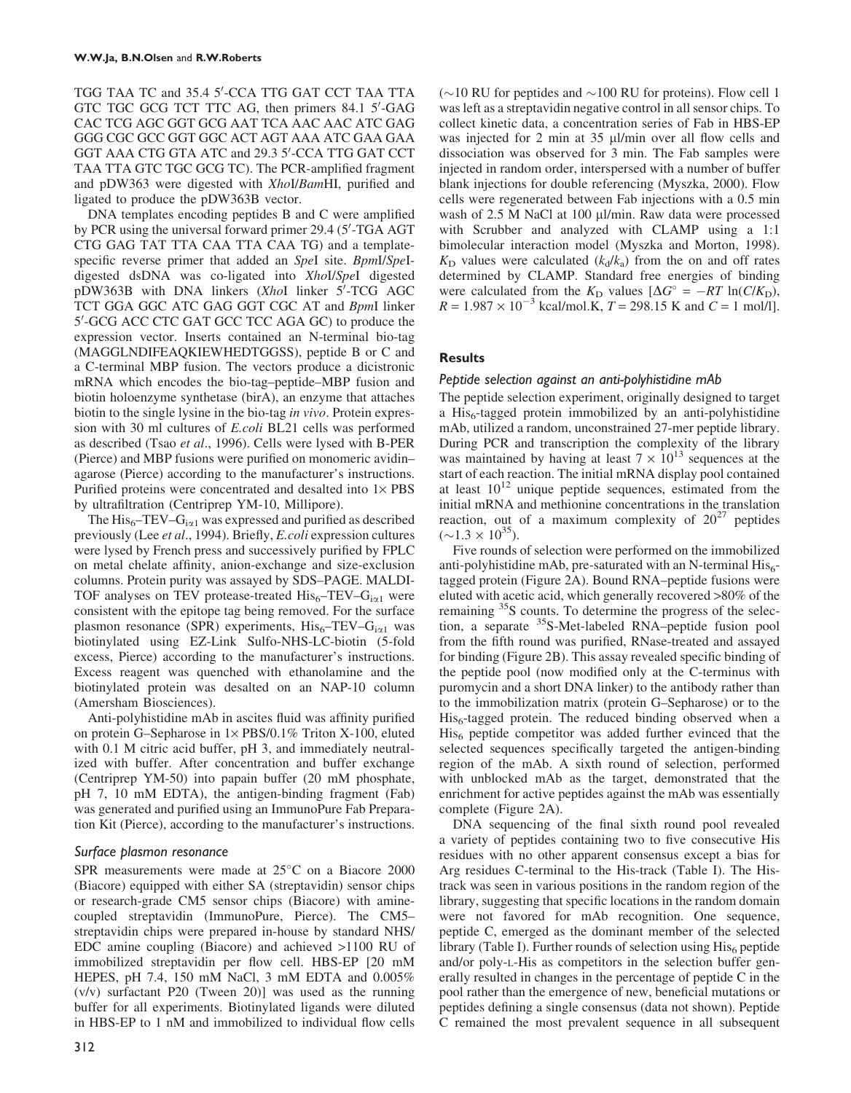TGG TAA TC and 35.4 5'-CCA TTG GAT CCT TAA TTA GTC TGC GCG TCT TTC AG, then primers 84.1 5'-GAG CAC TCG AGC GGT GCG AAT TCA AAC AAC ATC GAG GGG CGC GCC GGT GGC ACT AGT AAA ATC GAA GAA GGT AAA CTG GTA ATC and 29.3 5'-CCA TTG GAT CCT TAA TTA GTC TGC GCG TC). The PCR-amplified fragment and pDW363 were digested with XhoI/BamHI, purified and ligated to produce the pDW363B vector.

DNA templates encoding peptides B and C were amplified by PCR using the universal forward primer 29.4 (5'-TGA AGT CTG GAG TAT TTA CAA TTA CAA TG) and a templatespecific reverse primer that added an *SpeI* site. *BpmI/SpeI*digested dsDNA was co-ligated into XhoI/SpeI digested pDW363B with DNA linkers (XhoI linker 5'-TCG AGC TCT GGA GGC ATC GAG GGT CGC AT and BpmI linker 5'-GCG ACC CTC GAT GCC TCC AGA GC) to produce the expression vector. Inserts contained an N-terminal bio-tag (MAGGLNDIFEAQKIEWHEDTGGSS), peptide B or C and a C-terminal MBP fusion. The vectors produce a dicistronic mRNA which encodes the bio-tag–peptide–MBP fusion and biotin holoenzyme synthetase (birA), an enzyme that attaches biotin to the single lysine in the bio-tag in vivo. Protein expression with 30 ml cultures of E.coli BL21 cells was performed as described (Tsao et al., 1996). Cells were lysed with B-PER (Pierce) and MBP fusions were purified on monomeric avidin– agarose (Pierce) according to the manufacturer's instructions. Purified proteins were concentrated and desalted into  $1 \times PBS$ by ultrafiltration (Centriprep YM-10, Millipore).

The  $His_{6}$ –TEV– $G_{i\alpha1}$  was expressed and purified as described previously (Lee et al., 1994). Briefly, E.coli expression cultures were lysed by French press and successively purified by FPLC on metal chelate affinity, anion-exchange and size-exclusion columns. Protein purity was assayed by SDS–PAGE. MALDI-TOF analyses on TEV protease-treated  $His_{6}$ –TEV– $G_{i\alpha1}$  were consistent with the epitope tag being removed. For the surface plasmon resonance (SPR) experiments,  $His<sub>6</sub>-TEV-G<sub>i\alpha1</sub>$  was biotinylated using EZ-Link Sulfo-NHS-LC-biotin (5-fold excess, Pierce) according to the manufacturer's instructions. Excess reagent was quenched with ethanolamine and the biotinylated protein was desalted on an NAP-10 column (Amersham Biosciences).

Anti-polyhistidine mAb in ascites fluid was affinity purified on protein G-Sepharose in  $1 \times$  PBS/0.1% Triton X-100, eluted with 0.1 M citric acid buffer, pH 3, and immediately neutralized with buffer. After concentration and buffer exchange (Centriprep YM-50) into papain buffer (20 mM phosphate, pH 7, 10 mM EDTA), the antigen-binding fragment (Fab) was generated and purified using an ImmunoPure Fab Preparation Kit (Pierce), according to the manufacturer's instructions.

## Surface plasmon resonance

SPR measurements were made at  $25^{\circ}$ C on a Biacore 2000 (Biacore) equipped with either SA (streptavidin) sensor chips or research-grade CM5 sensor chips (Biacore) with aminecoupled streptavidin (ImmunoPure, Pierce). The CM5– streptavidin chips were prepared in-house by standard NHS/ EDC amine coupling (Biacore) and achieved >1100 RU of immobilized streptavidin per flow cell. HBS-EP [20 mM HEPES, pH 7.4, 150 mM NaCl, 3 mM EDTA and 0.005% (v/v) surfactant P20 (Tween 20)] was used as the running buffer for all experiments. Biotinylated ligands were diluted in HBS-EP to 1 nM and immobilized to individual flow cells  $(\sim 10 \text{ RU}$  for peptides and  $\sim 100 \text{ RU}$  for proteins). Flow cell 1 was left as a streptavidin negative control in all sensor chips. To collect kinetic data, a concentration series of Fab in HBS-EP was injected for 2 min at 35 µl/min over all flow cells and dissociation was observed for 3 min. The Fab samples were injected in random order, interspersed with a number of buffer blank injections for double referencing (Myszka, 2000). Flow cells were regenerated between Fab injections with a 0.5 min wash of 2.5 M NaCl at 100 µl/min. Raw data were processed with Scrubber and analyzed with CLAMP using a 1:1 bimolecular interaction model (Myszka and Morton, 1998).  $K_D$  values were calculated  $(k_d/k_a)$  from the on and off rates determined by CLAMP. Standard free energies of binding were calculated from the  $K_D$  values  $[\Delta G^{\circ} = -RT \ln(C/K_D)$ ,  $R = 1.987 \times 10^{-3}$  kcal/mol.K,  $T = 298.15$  K and  $C = 1$  mol/l].

# **Results**

## Peptide selection against an anti-polyhistidine mAb

The peptide selection experiment, originally designed to target a  $His<sub>6</sub>$ -tagged protein immobilized by an anti-polyhistidine mAb, utilized a random, unconstrained 27-mer peptide library. During PCR and transcription the complexity of the library was maintained by having at least  $7 \times 10^{13}$  sequences at the start of each reaction. The initial mRNA display pool contained at least  $10^{12}$  unique peptide sequences, estimated from the initial mRNA and methionine concentrations in the translation reaction, out of a maximum complexity of  $20^{27}$  peptides  $(\sim 1.3 \times 10^{35})$ .

Five rounds of selection were performed on the immobilized anti-polyhistidine mAb, pre-saturated with an N-terminal  $His<sub>6</sub>$ tagged protein (Figure 2A). Bound RNA–peptide fusions were eluted with acetic acid, which generally recovered >80% of the remaining  ${}^{35}S$  counts. To determine the progress of the selection, a separate 35S-Met-labeled RNA–peptide fusion pool from the fifth round was purified, RNase-treated and assayed for binding (Figure 2B). This assay revealed specific binding of the peptide pool (now modified only at the C-terminus with puromycin and a short DNA linker) to the antibody rather than to the immobilization matrix (protein G–Sepharose) or to the  $His<sub>6</sub>$ -tagged protein. The reduced binding observed when a  $His<sub>6</sub>$  peptide competitor was added further evinced that the selected sequences specifically targeted the antigen-binding region of the mAb. A sixth round of selection, performed with unblocked mAb as the target, demonstrated that the enrichment for active peptides against the mAb was essentially complete (Figure 2A).

DNA sequencing of the final sixth round pool revealed a variety of peptides containing two to five consecutive His residues with no other apparent consensus except a bias for Arg residues C-terminal to the His-track (Table I). The Histrack was seen in various positions in the random region of the library, suggesting that specific locations in the random domain were not favored for mAb recognition. One sequence, peptide C, emerged as the dominant member of the selected library (Table I). Further rounds of selection using  $His<sub>6</sub>$  peptide and/or poly-L-His as competitors in the selection buffer generally resulted in changes in the percentage of peptide C in the pool rather than the emergence of new, beneficial mutations or peptides defining a single consensus (data not shown). Peptide C remained the most prevalent sequence in all subsequent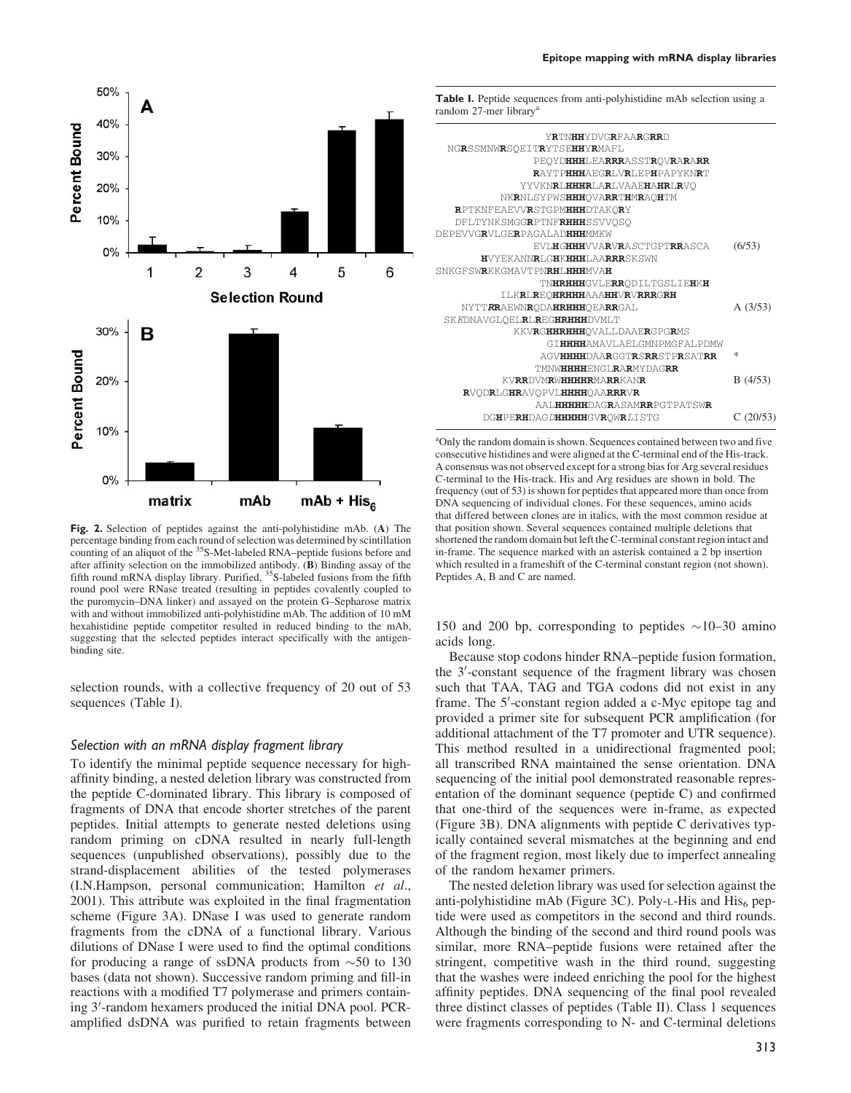

Fig. 2. Selection of peptides against the anti-polyhistidine mAb. (A) The percentage binding from each round of selection was determined by scintillation counting of an aliquot of the <sup>35</sup>S-Met-labeled RNA–peptide fusions before and after affinity selection on the immobilized antibody.  $(B)$  Binding assay of the fifth round mRNA display library. Purified, <sup>35</sup>S-labeled fusions from the fifth round pool were RNase treated (resulting in peptides covalently coupled to the puromycin–DNA linker) and assayed on the protein G–Sepharose matrix with and without immobilized anti-polyhistidine mAb. The addition of 10 mM hexahistidine peptide competitor resulted in reduced binding to the mAb, suggesting that the selected peptides interact specifically with the antigenbinding site.

selection rounds, with a collective frequency of 20 out of 53 sequences (Table I).

#### Selection with an mRNA display fragment library

To identify the minimal peptide sequence necessary for highaffinity binding, a nested deletion library was constructed from the peptide C-dominated library. This library is composed of fragments of DNA that encode shorter stretches of the parent peptides. Initial attempts to generate nested deletions using random priming on cDNA resulted in nearly full-length sequences (unpublished observations), possibly due to the strand-displacement abilities of the tested polymerases (I.N.Hampson, personal communication; Hamilton et al., 2001). This attribute was exploited in the final fragmentation scheme (Figure 3A). DNase I was used to generate random fragments from the cDNA of a functional library. Various dilutions of DNase I were used to find the optimal conditions for producing a range of ssDNA products from  $\sim$ 50 to 130 bases (data not shown). Successive random priming and fill-in reactions with a modified T7 polymerase and primers containing 3'-random hexamers produced the initial DNA pool. PCRamplified dsDNA was purified to retain fragments between Table I. Peptide sequences from anti-polyhistidine mAb selection using a random 27-mer librarya

| <b>YRTNHHYDVGRFAARGRRD</b>  |               |
|-----------------------------|---------------|
| NGRSSMNWRSQEITRYTSEHHYRMAFL |               |
| PEOYDHHHLEARRRASSTROVRARARR |               |
| RAYTPHHHAEGRLVRLEPHPAPYKNRT |               |
| YYVKNRLHHHRLARLVAAEHAHRLRVO |               |
| NKRNLSYPWSHHHOVARRTHMRAOHTM |               |
| RPTKNFEAEVVRSTGPMHHHDTAKQRY |               |
| DFLTYNKSMGGRPTNFRHHHSSVVOSO |               |
| DEPEVVGRVLGERPAGALADHHHMMKW |               |
| EVLHGHHHVVARVRASCTGPTRRASCA | (6/53)        |
| HVYEKANNRLGHKHHHLAARRRSKSWN |               |
| SNKGFSWRKKGMAVTPNRHLHHHMVAH |               |
| TNHRHHHGVLERRODILTGSLIEHKH  |               |
| ILKRLREQHRHHHAAAHHVRVRRRGRH |               |
| NYTTRRAEWNRODAHRHHHOEARRGAL | A(3/53)       |
| SKKDNAVGLOELRLREGHRHHHDVMLT |               |
| KKVRGHHRHHHOVALLDAAERGPGRMS |               |
| GTHHHHAMAVLAELGMNPMGFALPDMW |               |
| AGVHHHHDAARGGTRSRRSTPRSATRR | $\frac{1}{2}$ |
| TMNWHHHHENGLRARMYDAGRR      |               |
| KVRRDVMRWHHHHRMARRKANR      | B(4/53)       |
| RVODRLGHRAVOPVLHHHHOAARRRVR |               |
| AALHHHHHDAGRASAMRRPGTPATSWR |               |
| DGHPERHDAGDHHHHHGVROWRLISTG | C(20/53)      |
|                             |               |

<sup>a</sup>Only the random domain is shown. Sequences contained between two and five consecutive histidines and were aligned at the C-terminal end of the His-track. A consensus was not observed except for a strong bias for Arg several residues C-terminal to the His-track. His and Arg residues are shown in bold. The frequency (out of 53) is shown for peptides that appeared more than once from DNA sequencing of individual clones. For these sequences, amino acids that differed between clones are in italics, with the most common residue at that position shown. Several sequences contained multiple deletions that shortened the random domain but left the C-terminal constant region intact and in-frame. The sequence marked with an asterisk contained a 2 bp insertion which resulted in a frameshift of the C-terminal constant region (not shown). Peptides A, B and C are named.

150 and 200 bp, corresponding to peptides  $\sim$ 10–30 amino acids long.

Because stop codons hinder RNA–peptide fusion formation, the 3'-constant sequence of the fragment library was chosen such that TAA, TAG and TGA codons did not exist in any frame. The 5'-constant region added a c-Myc epitope tag and provided a primer site for subsequent PCR amplification (for additional attachment of the T7 promoter and UTR sequence). This method resulted in a unidirectional fragmented pool; all transcribed RNA maintained the sense orientation. DNA sequencing of the initial pool demonstrated reasonable representation of the dominant sequence (peptide C) and confirmed that one-third of the sequences were in-frame, as expected (Figure 3B). DNA alignments with peptide C derivatives typically contained several mismatches at the beginning and end of the fragment region, most likely due to imperfect annealing of the random hexamer primers.

The nested deletion library was used for selection against the anti-polyhistidine mAb (Figure 3C). Poly-L-His and  $His<sub>6</sub>$  peptide were used as competitors in the second and third rounds. Although the binding of the second and third round pools was similar, more RNA–peptide fusions were retained after the stringent, competitive wash in the third round, suggesting that the washes were indeed enriching the pool for the highest affinity peptides. DNA sequencing of the final pool revealed three distinct classes of peptides (Table II). Class 1 sequences were fragments corresponding to N- and C-terminal deletions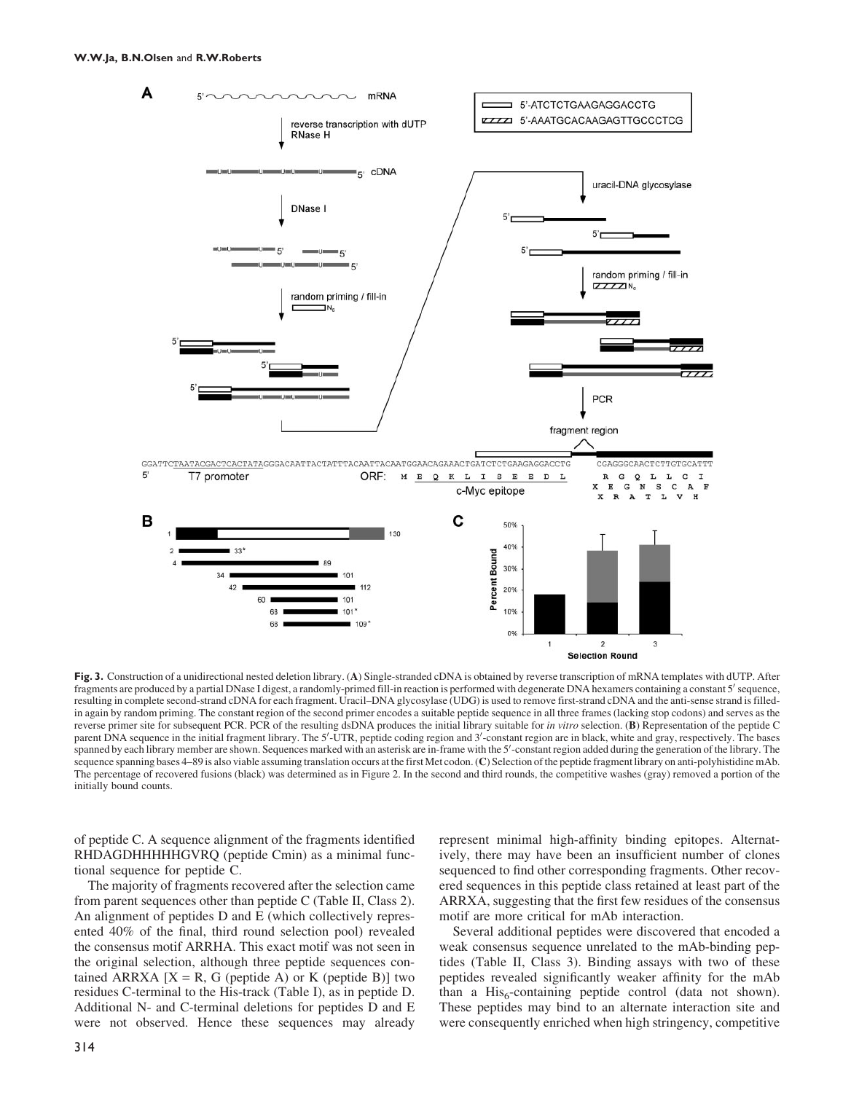

Fig. 3. Construction of a unidirectional nested deletion library. (A) Single-stranded cDNA is obtained by reverse transcription of mRNA templates with dUTP. After fragments are produced by a partial DNase I digest, a randomly-primed fill-in reaction is performed with degenerate DNA hexamers containing a constant 5' sequence, resulting in complete second-strand cDNA for each fragment. Uracil–DNA glycosylase (UDG) is used to remove first-strand cDNA and the anti-sense strand is filledin again by random priming. The constant region of the second primer encodes a suitable peptide sequence in all three frames (lacking stop codons) and serves as the reverse primer site for subsequent PCR. PCR of the resulting dsDNA produces the initial library suitable for in vitro selection. (B) Representation of the peptide C parent DNA sequence in the initial fragment library. The 5'-UTR, peptide coding region and 3'-constant region are in black, white and gray, respectively. The bases spanned by each library member are shown. Sequences marked with an asterisk are in-frame with the 5'-constant region added during the generation of the library. The sequence spanning bases 4–89 is also viable assuming translation occurs at the first Met codon. (C) Selection of the peptide fragment library on anti-polyhistidine mAb. The percentage of recovered fusions (black) was determined as in Figure 2. In the second and third rounds, the competitive washes (gray) removed a portion of the initially bound counts.

of peptide C. A sequence alignment of the fragments identified RHDAGDHHHHHGVRQ (peptide Cmin) as a minimal functional sequence for peptide C.

The majority of fragments recovered after the selection came from parent sequences other than peptide C (Table II, Class 2). An alignment of peptides D and E (which collectively represented 40% of the final, third round selection pool) revealed the consensus motif ARRHA. This exact motif was not seen in the original selection, although three peptide sequences contained ARRXA  $[X = R, G$  (peptide A) or K (peptide B)] two residues C-terminal to the His-track (Table I), as in peptide D. Additional N- and C-terminal deletions for peptides D and E were not observed. Hence these sequences may already represent minimal high-affinity binding epitopes. Alternatively, there may have been an insufficient number of clones sequenced to find other corresponding fragments. Other recovered sequences in this peptide class retained at least part of the ARRXA, suggesting that the first few residues of the consensus motif are more critical for mAb interaction.

Several additional peptides were discovered that encoded a weak consensus sequence unrelated to the mAb-binding peptides (Table II, Class 3). Binding assays with two of these peptides revealed significantly weaker affinity for the mAb than a  $His<sub>6</sub>$ -containing peptide control (data not shown). These peptides may bind to an alternate interaction site and were consequently enriched when high stringency, competitive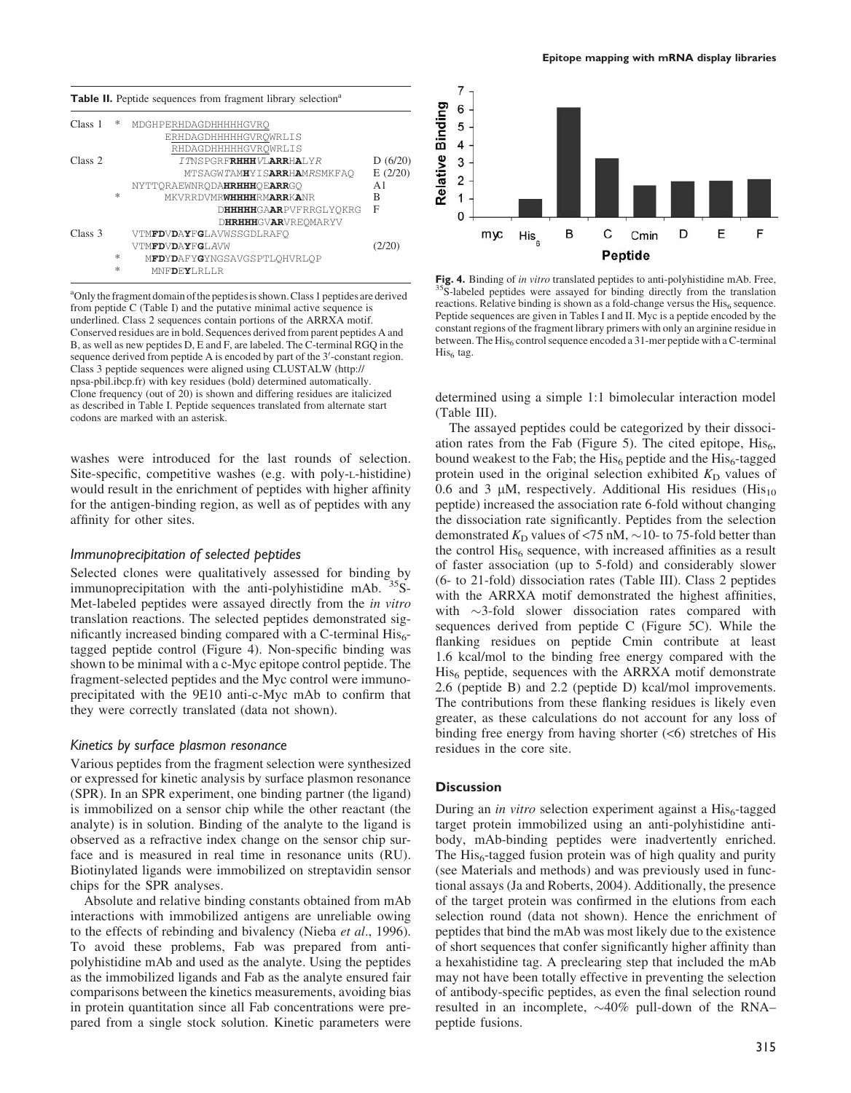

<sup>a</sup>Only the fragment domain of the peptides is shown. Class 1 peptides are derived from peptide C (Table I) and the putative minimal active sequence is underlined. Class 2 sequences contain portions of the ARRXA motif. Conserved residues are in bold. Sequences derived fr[om pare](http://)nt peptides A and B, as well as new peptides D, E and F, are labeled. The  $\dot{C}$ -terminal RGO in the sequence derived from peptide A is encoded by part of the 3'-constant region. Class 3 peptide sequences were aligned using CLUSTALW (http:// npsa-pbil.ibcp.fr) with key residues (bold) determined automatically. Clone frequency (out of 20) is shown and differing residues are italicized as described in Table I. Peptide sequences translated from alternate start codons are marked with an asterisk.

washes were introduced for the last rounds of selection. Site-specific, competitive washes (e.g. with poly-L-histidine) would result in the enrichment of peptides with higher affinity for the antigen-binding region, as well as of peptides with any affinity for other sites.

#### Immunoprecipitation of selected peptides

Selected clones were qualitatively assessed for binding by immunoprecipitation with the anti-polyhistidine mAb.  $35S$ -Met-labeled peptides were assayed directly from the in vitro translation reactions. The selected peptides demonstrated significantly increased binding compared with a C-terminal  $His<sub>6</sub>$ tagged peptide control (Figure 4). Non-specific binding was shown to be minimal with a c-Myc epitope control peptide. The fragment-selected peptides and the Myc control were immunoprecipitated with the 9E10 anti-c-Myc mAb to confirm that they were correctly translated (data not shown).

#### Kinetics by surface plasmon resonance

Various peptides from the fragment selection were synthesized or expressed for kinetic analysis by surface plasmon resonance (SPR). In an SPR experiment, one binding partner (the ligand) is immobilized on a sensor chip while the other reactant (the analyte) is in solution. Binding of the analyte to the ligand is observed as a refractive index change on the sensor chip surface and is measured in real time in resonance units (RU). Biotinylated ligands were immobilized on streptavidin sensor chips for the SPR analyses.

Absolute and relative binding constants obtained from mAb interactions with immobilized antigens are unreliable owing to the effects of rebinding and bivalency (Nieba et al., 1996). To avoid these problems, Fab was prepared from antipolyhistidine mAb and used as the analyte. Using the peptides as the immobilized ligands and Fab as the analyte ensured fair comparisons between the kinetics measurements, avoiding bias in protein quantitation since all Fab concentrations were prepared from a single stock solution. Kinetic parameters were



Fig. 4. Binding of *in vitro* translated peptides to anti-polyhistidine mAb. Free,  $35$ S-labeled peptides were assayed for binding directly from the translation reactions. Relative binding is shown as a fold-change versus the  $His<sub>6</sub>$  sequence. Peptide sequences are given in Tables I and II. Myc is a peptide encoded by the constant regions of the fragment library primers with only an arginine residue in between. The His<sub>6</sub> control sequence encoded a 31-mer peptide with a C-terminal  $His<sub>6</sub> tag.$ 

determined using a simple 1:1 bimolecular interaction model (Table III).

The assayed peptides could be categorized by their dissociation rates from the Fab (Figure 5). The cited epitope,  $His<sub>6</sub>$ , bound weakest to the Fab; the  $His<sub>6</sub>$  peptide and the  $His<sub>6</sub>$ -tagged protein used in the original selection exhibited  $K<sub>D</sub>$  values of 0.6 and 3  $\mu$ M, respectively. Additional His residues (His<sub>10</sub>) peptide) increased the association rate 6-fold without changing the dissociation rate significantly. Peptides from the selection demonstrated  $K_{\text{D}}$  values of <75 nM,  $\sim$ 10- to 75-fold better than the control  $His<sub>6</sub>$  sequence, with increased affinities as a result of faster association (up to 5-fold) and considerably slower (6- to 21-fold) dissociation rates (Table III). Class 2 peptides with the ARRXA motif demonstrated the highest affinities, with  $\sim$ 3-fold slower dissociation rates compared with sequences derived from peptide C (Figure 5C). While the flanking residues on peptide Cmin contribute at least 1.6 kcal/mol to the binding free energy compared with the His<sub>6</sub> peptide, sequences with the ARRXA motif demonstrate 2.6 (peptide B) and 2.2 (peptide D) kcal/mol improvements. The contributions from these flanking residues is likely even greater, as these calculations do not account for any loss of binding free energy from having shorter  $( $6$ )$  stretches of His residues in the core site.

#### **Discussion**

During an *in vitro* selection experiment against a  $His<sub>6</sub>$ -tagged target protein immobilized using an anti-polyhistidine antibody, mAb-binding peptides were inadvertently enriched. The  $His<sub>6</sub>$ -tagged fusion protein was of high quality and purity (see Materials and methods) and was previously used in functional assays (Ja and Roberts, 2004). Additionally, the presence of the target protein was confirmed in the elutions from each selection round (data not shown). Hence the enrichment of peptides that bind the mAb was most likely due to the existence of short sequences that confer significantly higher affinity than a hexahistidine tag. A preclearing step that included the mAb may not have been totally effective in preventing the selection of antibody-specific peptides, as even the final selection round resulted in an incomplete,  $\sim$ 40% pull-down of the RNA– peptide fusions.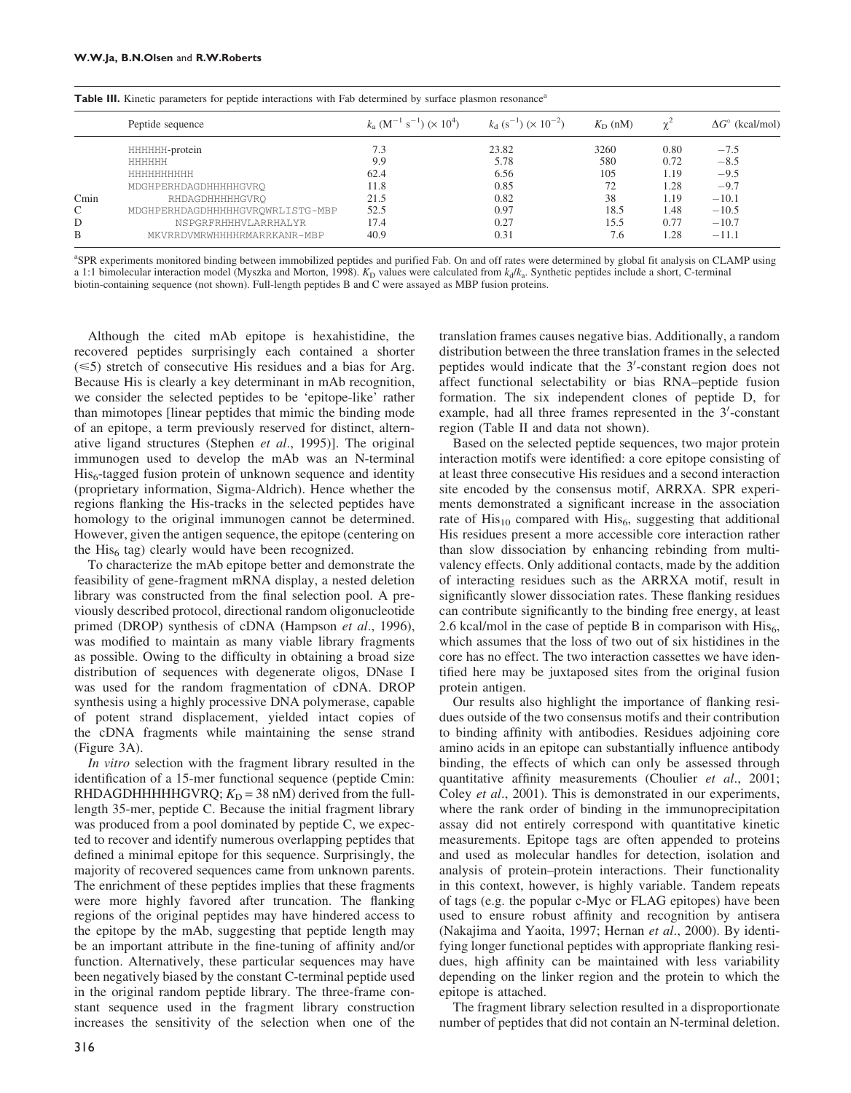|                  | Peptide sequence                 | $k_a$ (M <sup>-1</sup> s <sup>-1</sup> ) ( $\times$ 10 <sup>4</sup> ) | $k_d$ (s <sup>-1</sup> ) ( $\times$ 10 <sup>-2</sup> ) | $K_{\text{D}}$ (nM) |      | $\Delta G^{\circ}$ (kcal/mol) |
|------------------|----------------------------------|-----------------------------------------------------------------------|--------------------------------------------------------|---------------------|------|-------------------------------|
|                  | HHHHH-protein                    | 7.3                                                                   | 23.82                                                  | 3260                | 0.80 | $-7.5$                        |
|                  | HHHHHH                           | 9.9                                                                   | 5.78                                                   | 580                 | 0.72 | $-8.5$                        |
|                  | HHHHHHHHH                        | 62.4                                                                  | 6.56                                                   | 105                 | 1.19 | $-9.5$                        |
|                  | MDGHPERHDAGDHHHHHGVRO            | 11.8                                                                  | 0.85                                                   | 72                  | 1.28 | $-9.7$                        |
| $C_{\text{min}}$ | RHDAGDHHHHHGVRO                  | 21.5                                                                  | 0.82                                                   | 38                  | 1.19 | $-10.1$                       |
| C                | MDGHPERHDAGDHHHHHGVROWRLISTG-MBP | 52.5                                                                  | 0.97                                                   | 18.5                | 1.48 | $-10.5$                       |
| D                | NSPGRFRHHHVLARRHALYR             | 17.4                                                                  | 0.27                                                   | 15.5                | 0.77 | $-10.7$                       |
| B                | MKVRRDVMRWHHHHRMARRKANR-MBP      | 40.9                                                                  | 0.31                                                   | 7.6                 | 1.28 | $-11.1$                       |

**Table III.** Kinetic parameters for peptide interactions with Fab determined by surface plasmon resonance<sup>8</sup>

a SPR experiments monitored binding between immobilized peptides and purified Fab. On and off rates were determined by global fit analysis on CLAMP using a 1:1 bimolecular interaction model (Myszka and Morton, 1998).  $K<sub>D</sub>$  values were calculated from  $k_d/k_a$ . Synthetic peptides include a short, C-terminal biotin-containing sequence (not shown). Full-length peptides B and C were assayed as MBP fusion proteins.

Although the cited mAb epitope is hexahistidine, the recovered peptides surprisingly each contained a shorter (*<*5) stretch of consecutive His residues and a bias for Arg. Because His is clearly a key determinant in mAb recognition, we consider the selected peptides to be 'epitope-like' rather than mimotopes [linear peptides that mimic the binding mode of an epitope, a term previously reserved for distinct, alternative ligand structures (Stephen et al., 1995)]. The original immunogen used to develop the mAb was an N-terminal  $His<sub>6</sub>$ -tagged fusion protein of unknown sequence and identity (proprietary information, Sigma-Aldrich). Hence whether the regions flanking the His-tracks in the selected peptides have homology to the original immunogen cannot be determined. However, given the antigen sequence, the epitope (centering on the His<sub>6</sub> tag) clearly would have been recognized.

To characterize the mAb epitope better and demonstrate the feasibility of gene-fragment mRNA display, a nested deletion library was constructed from the final selection pool. A previously described protocol, directional random oligonucleotide primed (DROP) synthesis of cDNA (Hampson *et al.*, 1996), was modified to maintain as many viable library fragments as possible. Owing to the difficulty in obtaining a broad size distribution of sequences with degenerate oligos, DNase I was used for the random fragmentation of cDNA. DROP synthesis using a highly processive DNA polymerase, capable of potent strand displacement, yielded intact copies of the cDNA fragments while maintaining the sense strand (Figure 3A).

In vitro selection with the fragment library resulted in the identification of a 15-mer functional sequence (peptide Cmin: RHDAGDHHHHHGVRQ;  $K_D = 38$  nM) derived from the fulllength 35-mer, peptide C. Because the initial fragment library was produced from a pool dominated by peptide C, we expected to recover and identify numerous overlapping peptides that defined a minimal epitope for this sequence. Surprisingly, the majority of recovered sequences came from unknown parents. The enrichment of these peptides implies that these fragments were more highly favored after truncation. The flanking regions of the original peptides may have hindered access to the epitope by the mAb, suggesting that peptide length may be an important attribute in the fine-tuning of affinity and/or function. Alternatively, these particular sequences may have been negatively biased by the constant C-terminal peptide used in the original random peptide library. The three-frame constant sequence used in the fragment library construction increases the sensitivity of the selection when one of the translation frames causes negative bias. Additionally, a random distribution between the three translation frames in the selected peptides would indicate that the 3'-constant region does not affect functional selectability or bias RNA–peptide fusion formation. The six independent clones of peptide D, for example, had all three frames represented in the 3'-constant region (Table II and data not shown).

Based on the selected peptide sequences, two major protein interaction motifs were identified: a core epitope consisting of at least three consecutive His residues and a second interaction site encoded by the consensus motif, ARRXA. SPR experiments demonstrated a significant increase in the association rate of  $His_{10}$  compared with  $His_{6}$ , suggesting that additional His residues present a more accessible core interaction rather than slow dissociation by enhancing rebinding from multivalency effects. Only additional contacts, made by the addition of interacting residues such as the ARRXA motif, result in significantly slower dissociation rates. These flanking residues can contribute significantly to the binding free energy, at least 2.6 kcal/mol in the case of peptide B in comparison with  $His<sub>6</sub>$ , which assumes that the loss of two out of six histidines in the core has no effect. The two interaction cassettes we have identified here may be juxtaposed sites from the original fusion protein antigen.

Our results also highlight the importance of flanking residues outside of the two consensus motifs and their contribution to binding affinity with antibodies. Residues adjoining core amino acids in an epitope can substantially influence antibody binding, the effects of which can only be assessed through quantitative affinity measurements (Choulier et al., 2001; Coley et al., 2001). This is demonstrated in our experiments, where the rank order of binding in the immunoprecipitation assay did not entirely correspond with quantitative kinetic measurements. Epitope tags are often appended to proteins and used as molecular handles for detection, isolation and analysis of protein–protein interactions. Their functionality in this context, however, is highly variable. Tandem repeats of tags (e.g. the popular c-Myc or FLAG epitopes) have been used to ensure robust affinity and recognition by antisera (Nakajima and Yaoita, 1997; Hernan et al., 2000). By identifying longer functional peptides with appropriate flanking residues, high affinity can be maintained with less variability depending on the linker region and the protein to which the epitope is attached.

The fragment library selection resulted in a disproportionate number of peptides that did not contain an N-terminal deletion.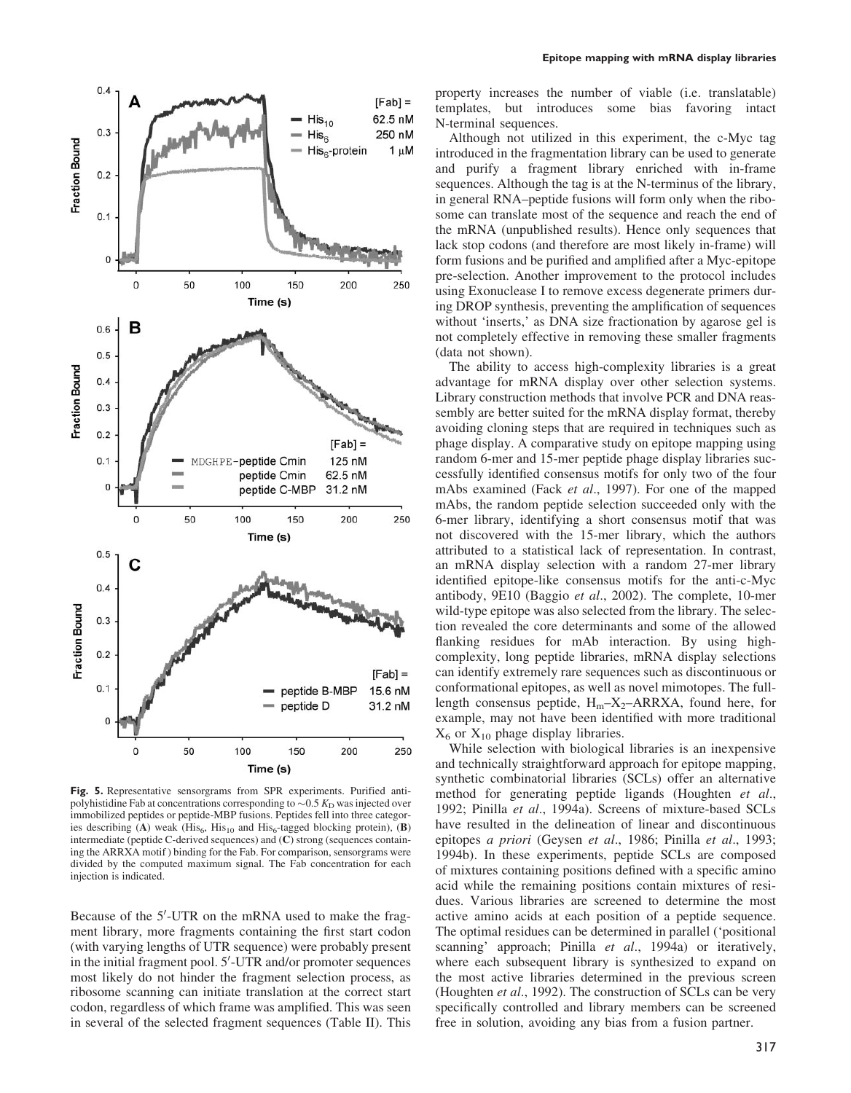

Fig. 5. Representative sensorgrams from SPR experiments. Purified antipolyhistidine Fab at concentrations corresponding to  $\sim$  0.5  $K_{\rm D}$  was injected over immobilized peptides or peptide-MBP fusions. Peptides fell into three categories describing  $(A)$  weak (His<sub>6</sub>, His<sub>10</sub> and His<sub>6</sub>-tagged blocking protein),  $(B)$ intermediate (peptide C-derived sequences) and (C) strong (sequences containing the ARRXA motif ) binding for the Fab. For comparison, sensorgrams were divided by the computed maximum signal. The Fab concentration for each injection is indicated.

Because of the 5'-UTR on the mRNA used to make the fragment library, more fragments containing the first start codon (with varying lengths of UTR sequence) were probably present in the initial fragment pool. 5'-UTR and/or promoter sequences most likely do not hinder the fragment selection process, as ribosome scanning can initiate translation at the correct start codon, regardless of which frame was amplified. This was seen in several of the selected fragment sequences (Table II). This

property increases the number of viable (i.e. translatable) templates, but introduces some bias favoring intact N-terminal sequences.

Although not utilized in this experiment, the c-Myc tag introduced in the fragmentation library can be used to generate and purify a fragment library enriched with in-frame sequences. Although the tag is at the N-terminus of the library, in general RNA–peptide fusions will form only when the ribosome can translate most of the sequence and reach the end of the mRNA (unpublished results). Hence only sequences that lack stop codons (and therefore are most likely in-frame) will form fusions and be purified and amplified after a Myc-epitope pre-selection. Another improvement to the protocol includes using Exonuclease I to remove excess degenerate primers during DROP synthesis, preventing the amplification of sequences without 'inserts,' as DNA size fractionation by agarose gel is not completely effective in removing these smaller fragments (data not shown).

The ability to access high-complexity libraries is a great advantage for mRNA display over other selection systems. Library construction methods that involve PCR and DNA reassembly are better suited for the mRNA display format, thereby avoiding cloning steps that are required in techniques such as phage display. A comparative study on epitope mapping using random 6-mer and 15-mer peptide phage display libraries successfully identified consensus motifs for only two of the four mAbs examined (Fack et al., 1997). For one of the mapped mAbs, the random peptide selection succeeded only with the 6-mer library, identifying a short consensus motif that was not discovered with the 15-mer library, which the authors attributed to a statistical lack of representation. In contrast, an mRNA display selection with a random 27-mer library identified epitope-like consensus motifs for the anti-c-Myc antibody, 9E10 (Baggio et al., 2002). The complete, 10-mer wild-type epitope was also selected from the library. The selection revealed the core determinants and some of the allowed flanking residues for mAb interaction. By using highcomplexity, long peptide libraries, mRNA display selections can identify extremely rare sequences such as discontinuous or conformational epitopes, as well as novel mimotopes. The fulllength consensus peptide,  $H_m-X_2-ARRXA$ , found here, for example, may not have been identified with more traditional  $X_6$  or  $X_{10}$  phage display libraries.

While selection with biological libraries is an inexpensive and technically straightforward approach for epitope mapping, synthetic combinatorial libraries (SCLs) offer an alternative method for generating peptide ligands (Houghten et al., 1992; Pinilla et al., 1994a). Screens of mixture-based SCLs have resulted in the delineation of linear and discontinuous epitopes a priori (Geysen et al., 1986; Pinilla et al., 1993; 1994b). In these experiments, peptide SCLs are composed of mixtures containing positions defined with a specific amino acid while the remaining positions contain mixtures of residues. Various libraries are screened to determine the most active amino acids at each position of a peptide sequence. The optimal residues can be determined in parallel ('positional scanning' approach; Pinilla et al., 1994a) or iteratively, where each subsequent library is synthesized to expand on the most active libraries determined in the previous screen (Houghten *et al.*, 1992). The construction of SCLs can be very specifically controlled and library members can be screened free in solution, avoiding any bias from a fusion partner.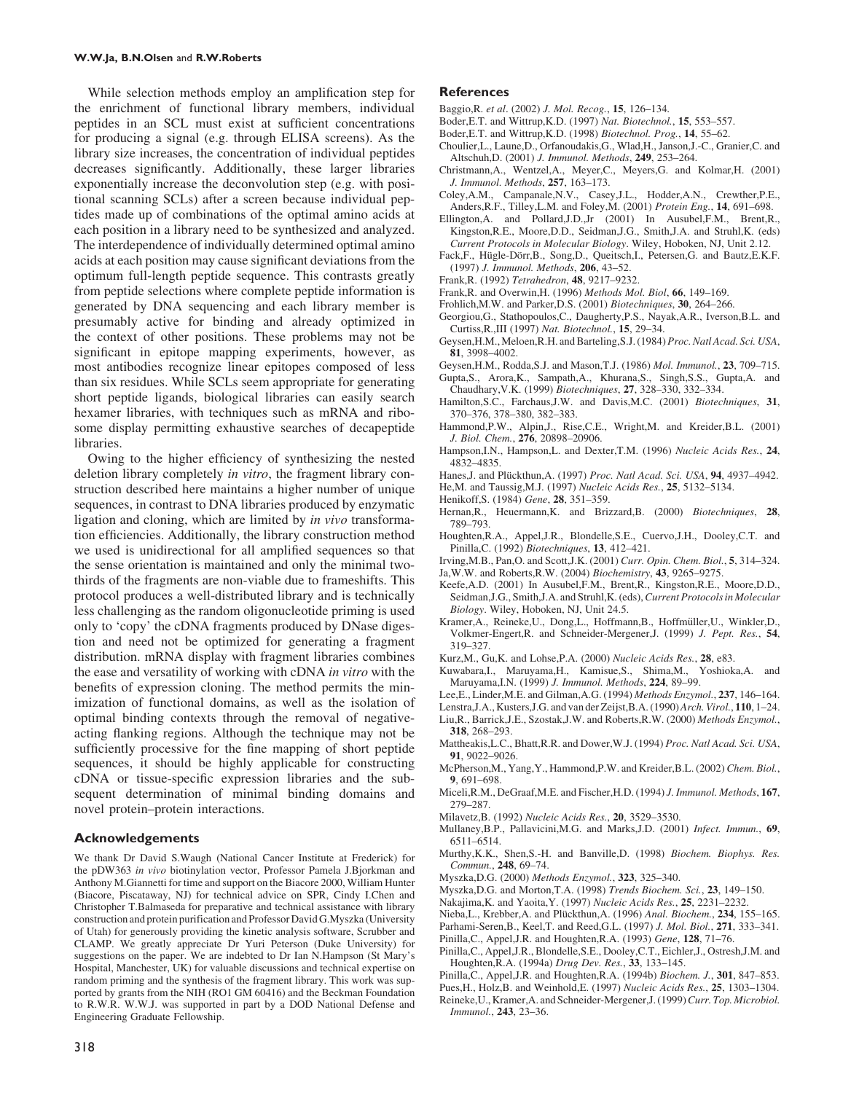While selection methods employ an amplification step for the enrichment of functional library members, individual peptides in an SCL must exist at sufficient concentrations for producing a signal (e.g. through ELISA screens). As the library size increases, the concentration of individual peptides decreases significantly. Additionally, these larger libraries exponentially increase the deconvolution step (e.g. with positional scanning SCLs) after a screen because individual peptides made up of combinations of the optimal amino acids at each position in a library need to be synthesized and analyzed. The interdependence of individually determined optimal amino acids at each position may cause significant deviations from the optimum full-length peptide sequence. This contrasts greatly from peptide selections where complete peptide information is generated by DNA sequencing and each library member is presumably active for binding and already optimized in the context of other positions. These problems may not be significant in epitope mapping experiments, however, as most antibodies recognize linear epitopes composed of less than six residues. While SCLs seem appropriate for generating short peptide ligands, biological libraries can easily search hexamer libraries, with techniques such as mRNA and ribosome display permitting exhaustive searches of decapeptide libraries.

Owing to the higher efficiency of synthesizing the nested deletion library completely *in vitro*, the fragment library construction described here maintains a higher number of unique sequences, in contrast to DNA libraries produced by enzymatic ligation and cloning, which are limited by in vivo transformation efficiencies. Additionally, the library construction method we used is unidirectional for all amplified sequences so that the sense orientation is maintained and only the minimal twothirds of the fragments are non-viable due to frameshifts. This protocol produces a well-distributed library and is technically less challenging as the random oligonucleotide priming is used only to 'copy' the cDNA fragments produced by DNase digestion and need not be optimized for generating a fragment distribution. mRNA display with fragment libraries combines the ease and versatility of working with cDNA in vitro with the benefits of expression cloning. The method permits the minimization of functional domains, as well as the isolation of optimal binding contexts through the removal of negativeacting flanking regions. Although the technique may not be sufficiently processive for the fine mapping of short peptide sequences, it should be highly applicable for constructing cDNA or tissue-specific expression libraries and the subsequent determination of minimal binding domains and novel protein–protein interactions.

#### Acknowledgements

We thank Dr David S.Waugh (National Cancer Institute at Frederick) for the pDW363 in vivo biotinylation vector, Professor Pamela J.Bjorkman and Anthony M.Giannetti for time and support on the Biacore 2000, William Hunter (Biacore, Piscataway, NJ) for technical advice on SPR, Cindy I.Chen and Christopher T.Balmaseda for preparative and technical assistance with library construction and protein purification and Professor David G.Myszka (University of Utah) for generously providing the kinetic analysis software, Scrubber and CLAMP. We greatly appreciate Dr Yuri Peterson (Duke University) for suggestions on the paper. We are indebted to Dr Ian N.Hampson (St Mary's Hospital, Manchester, UK) for valuable discussions and technical expertise on random priming and the synthesis of the fragment library. This work was supported by grants from the NIH (RO1 GM 60416) and the Beckman Foundation to R.W.R. W.W.J. was supported in part by a DOD National Defense and Engineering Graduate Fellowship.

#### References

- Baggio,R. et al. (2002) J. Mol. Recog., 15, 126–134.
- Boder,E.T. and Wittrup,K.D. (1997) Nat. Biotechnol., 15, 553–557.
- Boder,E.T. and Wittrup,K.D. (1998) Biotechnol. Prog., 14, 55–62.
- Choulier,L., Laune,D., Orfanoudakis,G., Wlad,H., Janson,J.-C., Granier,C. and Altschuh,D. (2001) J. Immunol. Methods, 249, 253–264.
- Christmann,A., Wentzel,A., Meyer,C., Meyers,G. and Kolmar,H. (2001) J. Immunol. Methods, 257, 163–173.
- Coley,A.M., Campanale,N.V., Casey,J.L., Hodder,A.N., Crewther,P.E., Anders, R.F., Tilley, L.M. and Foley, M. (2001) Protein Eng., 14, 691-698.
- Ellington,A. and Pollard,J.D.,Jr (2001) In Ausubel,F.M., Brent,R., Kingston,R.E., Moore,D.D., Seidman,J.G., Smith,J.A. and Struhl,K. (eds) Current Protocols in Molecular Biology. Wiley, Hoboken, NJ, Unit 2.12.
- Fack,F., Hügle-Dörr,B., Song,D., Queitsch,I., Petersen,G. and Bautz,E.K.F. (1997) J. Immunol. Methods, 206, 43–52.
- Frank,R. (1992) Tetrahedron, 48, 9217–9232.
- Frank,R. and Overwin,H. (1996) Methods Mol. Biol, 66, 149–169.
- Frohlich,M.W. and Parker,D.S. (2001) Biotechniques, 30, 264–266.
- Georgiou,G., Stathopoulos,C., Daugherty,P.S., Nayak,A.R., Iverson,B.L. and Curtiss,R.,III (1997) Nat. Biotechnol., 15, 29–34.
- Geysen, H.M., Meloen, R.H. and Barteling, S.J. (1984) Proc. Natl Acad. Sci. USA, 81, 3998–4002.
- Geysen,H.M., Rodda,S.J. and Mason,T.J. (1986) Mol. Immunol., 23, 709–715.
- Gupta,S., Arora,K., Sampath,A., Khurana,S., Singh,S.S., Gupta,A. and Chaudhary,V.K. (1999) Biotechniques, 27, 328–330, 332–334.
- Hamilton, S.C., Farchaus, J.W. and Davis, M.C. (2001) Biotechniques, 31, 370–376, 378–380, 382–383.
- Hammond,P.W., Alpin,J., Rise,C.E., Wright,M. and Kreider,B.L. (2001) J. Biol. Chem., 276, 20898–20906.
- Hampson, I.N., Hampson, L. and Dexter, T.M. (1996) Nucleic Acids Res., 24, 4832–4835.
- Hanes, J. and Plückthun, A. (1997) Proc. Natl Acad. Sci. USA, 94, 4937-4942.
- He,M. and Taussig,M.J. (1997) Nucleic Acids Res., 25, 5132–5134.
- Henikoff,S. (1984) Gene, 28, 351–359.
- Hernan, R., Heuermann, K. and Brizzard, B. (2000) Biotechniques, 28, 789–793.
- Houghten,R.A., Appel,J.R., Blondelle,S.E., Cuervo,J.H., Dooley,C.T. and Pinilla,C. (1992) Biotechniques, 13, 412–421.
- Irving,M.B., Pan,O. and Scott,J.K. (2001) Curr. Opin. Chem. Biol., 5, 314–324. Ja,W.W. and Roberts,R.W. (2004) Biochemistry, 43, 9265–9275.
- Keefe,A.D. (2001) In Ausubel,F.M., Brent,R., Kingston,R.E., Moore,D.D.,
- Seidman, J.G., Smith, J.A. and Struhl, K. (eds), Current Protocols in Molecular Biology. Wiley, Hoboken, NJ, Unit 24.5.
- Kramer,A., Reineke,U., Dong,L., Hoffmann,B., Hoffmüller,U., Winkler,D., Volkmer-Engert,R. and Schneider-Mergener,J. (1999) J. Pept. Res., 54, 319–327.
- Kurz, M., Gu, K. and Lohse, P.A. (2000) Nucleic Acids Res., 28, e83.
- Kuwabara,I., Maruyama,H., Kamisue,S., Shima,M., Yoshioka,A. and Maruyama,I.N. (1999) J. Immunol. Methods, 224, 89–99.
- Lee, E., Linder, M.E. and Gilman, A.G. (1994) Methods Enzymol., 237, 146-164.
- Lenstra, J.A., Kusters, J.G. and van der Zeijst, B.A. (1990) Arch. Virol., 110, 1-24.
- Liu,R., Barrick,J.E., Szostak,J.W. and Roberts,R.W. (2000) Methods Enzymol.,
	- 318, 268–293.
- Mattheakis, L.C., Bhatt, R.R. and Dower, W.J. (1994) *Proc. Natl Acad. Sci. USA*, 91, 9022–9026.
- McPherson,M., Yang,Y., Hammond,P.W. and Kreider,B.L. (2002) Chem. Biol., 9, 691–698.
- Miceli, R.M., DeGraaf, M.E. and Fischer, H.D. (1994) J. Immunol. Methods, 167, 279–287.
- Milavetz,B. (1992) Nucleic Acids Res., 20, 3529–3530.
- Mullaney,B.P., Pallavicini,M.G. and Marks,J.D. (2001) Infect. Immun., 69, 6511–6514.
- Murthy, K.K., Shen, S.-H. and Banville, D. (1998) Biochem. Biophys. Res. Commun., 248, 69–74.
- Myszka, D.G. (2000) Methods Enzymol., 323, 325-340.
- Myszka, D.G. and Morton, T.A. (1998) Trends Biochem. Sci., 23, 149-150.
- Nakajima, K. and Yaoita, Y. (1997) Nucleic Acids Res., 25, 2231-2232.
- Nieba,L., Krebber,A. and Plückthun,A. (1996) Anal. Biochem., 234, 155-165.
- Parhami-Seren, B., Keel, T. and Reed, G.L. (1997) J. Mol. Biol., 271, 333-341.
- Pinilla,C., Appel,J.R. and Houghten,R.A. (1993) Gene, 128, 71–76.
- Pinilla,C., Appel,J.R., Blondelle,S.E., Dooley,C.T., Eichler,J., Ostresh,J.M. and Houghten,R.A. (1994a) Drug Dev. Res., 33, 133–145.

Pinilla, C., Appel, J.R. and Houghten, R.A. (1994b) Biochem. J., 301, 847-853.

Pues, H., Holz, B. and Weinhold, E. (1997) Nucleic Acids Res., 25, 1303-1304.

Reineke, U., Kramer, A. and Schneider-Mergener, J. (1999) Curr. Top. Microbiol. Immunol., 243, 23–36.